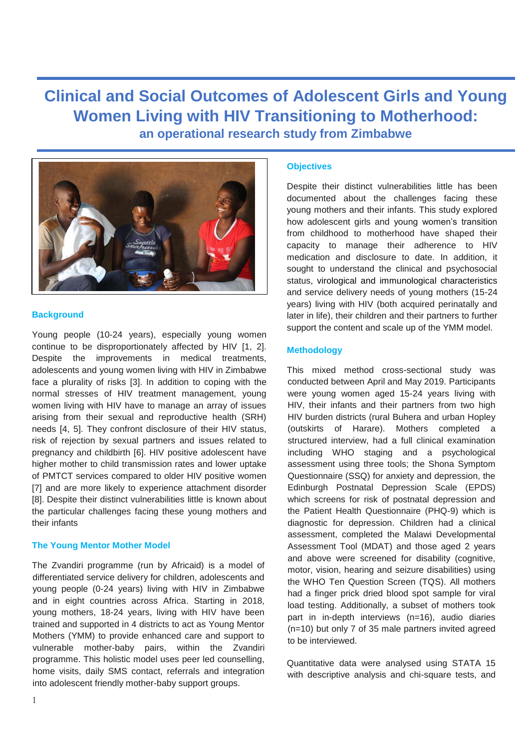**Clinical and Social Outcomes of Adolescent Girls and Young Women Living with HIV Transitioning to Motherhood: an operational research study from Zimbabwe**



## **Background**

Young people (10-24 years), especially young women continue to be disproportionately affected by HIV [1, 2]. Despite the improvements in medical treatments, adolescents and young women living with HIV in Zimbabwe face a plurality of risks [3]. In addition to coping with the normal stresses of HIV treatment management, young women living with HIV have to manage an array of issues arising from their sexual and reproductive health (SRH) needs [4, 5]. They confront disclosure of their HIV status, risk of rejection by sexual partners and issues related to pregnancy and childbirth [6]. HIV positive adolescent have higher mother to child transmission rates and lower uptake of PMTCT services compared to older HIV positive women [7] and are more likely to experience attachment disorder [8]. Despite their distinct vulnerabilities little is known about the particular challenges facing these young mothers and their infants

## **The Young Mentor Mother Model**

The Zvandiri programme (run by Africaid) is a model of differentiated service delivery for children, adolescents and young people (0-24 years) living with HIV in Zimbabwe and in eight countries across Africa. Starting in 2018, young mothers, 18-24 years, living with HIV have been trained and supported in 4 districts to act as Young Mentor Mothers (YMM) to provide enhanced care and support to vulnerable mother-baby pairs, within the Zvandiri programme. This holistic model uses peer led counselling, home visits, daily SMS contact, referrals and integration into adolescent friendly mother-baby support groups.

### **Objectives**

Despite their distinct vulnerabilities little has been documented about the challenges facing these young mothers and their infants. This study explored how adolescent girls and young women's transition from childhood to motherhood have shaped their capacity to manage their adherence to HIV medication and disclosure to date. In addition, it sought to understand the clinical and psychosocial status, virological and immunological characteristics and service delivery needs of young mothers (15-24 years) living with HIV (both acquired perinatally and later in life), their children and their partners to further support the content and scale up of the YMM model.

## **Methodology**

This mixed method cross-sectional study was conducted between April and May 2019. Participants were young women aged 15-24 years living with HIV, their infants and their partners from two high HIV burden districts (rural Buhera and urban Hopley (outskirts of Harare). Mothers completed a structured interview, had a full clinical examination including WHO staging and a psychological assessment using three tools; the Shona Symptom Questionnaire (SSQ) for anxiety and depression, the Edinburgh Postnatal Depression Scale (EPDS) which screens for risk of postnatal depression and the Patient Health Questionnaire (PHQ-9) which is diagnostic for depression. Children had a clinical assessment, completed the Malawi Developmental Assessment Tool (MDAT) and those aged 2 years and above were screened for disability (cognitive, motor, vision, hearing and seizure disabilities) using the WHO Ten Question Screen (TQS). All mothers had a finger prick dried blood spot sample for viral load testing. Additionally, a subset of mothers took part in in-depth interviews (n=16), audio diaries (n=10) but only 7 of 35 male partners invited agreed to be interviewed.

Quantitative data were analysed using STATA 15 with descriptive analysis and chi-square tests, and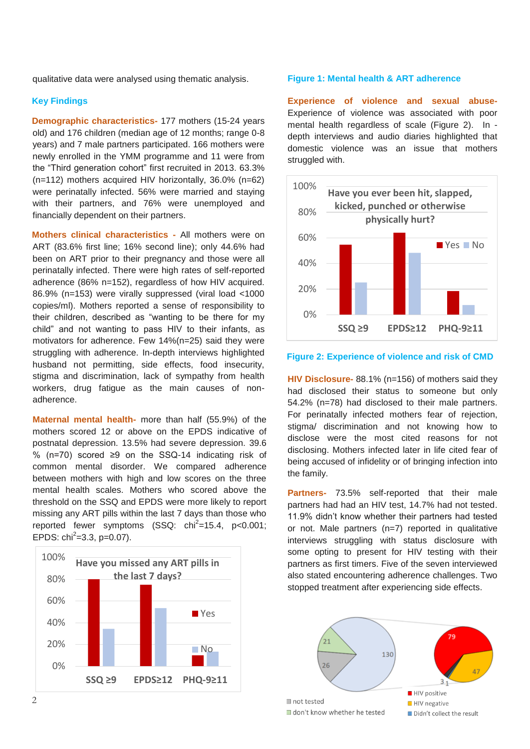qualitative data were analysed using thematic analysis.

### **Key Findings**

**Demographic characteristics-** 177 mothers (15-24 years old) and 176 children (median age of 12 months; range 0-8 years) and 7 male partners participated. 166 mothers were newly enrolled in the YMM programme and 11 were from the "Third generation cohort" first recruited in 2013. 63.3% (n=112) mothers acquired HIV horizontally, 36.0% (n=62) were perinatally infected. 56% were married and staying with their partners, and 76% were unemployed and financially dependent on their partners.

**Mothers clinical characteristics -** All mothers were on ART (83.6% first line; 16% second line); only 44.6% had been on ART prior to their pregnancy and those were all perinatally infected. There were high rates of self-reported adherence (86% n=152), regardless of how HIV acquired. 86.9% (n=153) were virally suppressed (viral load <1000 copies/ml). Mothers reported a sense of responsibility to their children, described as "wanting to be there for my child" and not wanting to pass HIV to their infants, as motivators for adherence. Few 14%(n=25) said they were struggling with adherence. In-depth interviews highlighted husband not permitting, side effects, food insecurity, stigma and discrimination, lack of sympathy from health workers, drug fatigue as the main causes of nonadherence.

**Maternal mental health-** more than half (55.9%) of the mothers scored 12 or above on the EPDS indicative of postnatal depression. 13.5% had severe depression. 39.6 % (n=70) scored ≥9 on the SSQ-14 indicating risk of common mental disorder. We compared adherence between mothers with high and low scores on the three mental health scales. Mothers who scored above the threshold on the SSQ and EPDS were more likely to report missing any ART pills within the last 7 days than those who reported fewer symptoms  $(SSQ: ch<sup>2</sup>=15.4, p<0.001;$ EPDS:  $\text{chi}^2$ =3.3, p=0.07).



### **Figure 1: Mental health & ART adherence**

**Experience of violence and sexual abuse-**Experience of violence was associated with poor mental health regardless of scale (Figure 2). In depth interviews and audio diaries highlighted that domestic violence was an issue that mothers struggled with.



#### **Figure 2: Experience of violence and risk of CMD**

**HIV Disclosure-** 88.1% (n=156) of mothers said they had disclosed their status to someone but only 54.2% (n=78) had disclosed to their male partners. For perinatally infected mothers fear of rejection, stigma/ discrimination and not knowing how to disclose were the most cited reasons for not disclosing. Mothers infected later in life cited fear of being accused of infidelity or of bringing infection into the family.

**Partners-** 73.5% self-reported that their male partners had had an HIV test, 14.7% had not tested. 11.9% didn't know whether their partners had tested or not. Male partners (n=7) reported in qualitative interviews struggling with status disclosure with some opting to present for HIV testing with their partners as first timers. Five of the seven interviewed also stated encountering adherence challenges. Two stopped treatment after experiencing side effects.

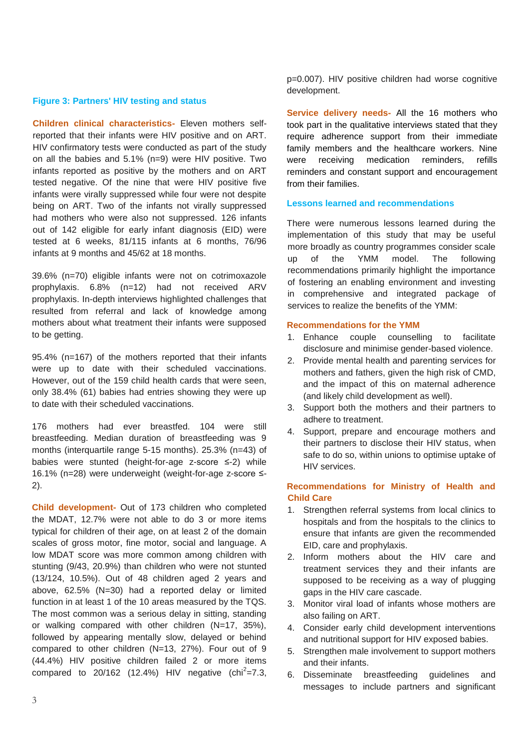#### **Figure 3: Partners' HIV testing and status**

**Children clinical characteristics-** Eleven mothers selfreported that their infants were HIV positive and on ART. HIV confirmatory tests were conducted as part of the study on all the babies and 5.1% (n=9) were HIV positive. Two infants reported as positive by the mothers and on ART tested negative. Of the nine that were HIV positive five infants were virally suppressed while four were not despite being on ART. Two of the infants not virally suppressed had mothers who were also not suppressed. 126 infants out of 142 eligible for early infant diagnosis (EID) were tested at 6 weeks, 81/115 infants at 6 months, 76/96 infants at 9 months and 45/62 at 18 months.

39.6% (n=70) eligible infants were not on cotrimoxazole prophylaxis. 6.8% (n=12) had not received ARV prophylaxis. In-depth interviews highlighted challenges that resulted from referral and lack of knowledge among mothers about what treatment their infants were supposed to be getting.

95.4% (n=167) of the mothers reported that their infants were up to date with their scheduled vaccinations. However, out of the 159 child health cards that were seen, only 38.4% (61) babies had entries showing they were up to date with their scheduled vaccinations.

176 mothers had ever breastfed. 104 were still breastfeeding. Median duration of breastfeeding was 9 months (interquartile range 5-15 months). 25.3% (n=43) of babies were stunted (height-for-age z-score ≤-2) while 16.1% (n=28) were underweight (weight-for-age z-score ≤- 2).

**Child development-** Out of 173 children who completed the MDAT, 12.7% were not able to do 3 or more items typical for children of their age, on at least 2 of the domain scales of gross motor, fine motor, social and language. A low MDAT score was more common among children with stunting (9/43, 20.9%) than children who were not stunted (13/124, 10.5%). Out of 48 children aged 2 years and above, 62.5% (N=30) had a reported delay or limited function in at least 1 of the 10 areas measured by the TQS. The most common was a serious delay in sitting, standing or walking compared with other children (N=17, 35%), followed by appearing mentally slow, delayed or behind compared to other children (N=13, 27%). Four out of 9 (44.4%) HIV positive children failed 2 or more items compared to  $20/162$  (12.4%) HIV negative (chi<sup>2</sup>=7.3, p=0.007). HIV positive children had worse cognitive development.

**Service delivery needs-** All the 16 mothers who took part in the qualitative interviews stated that they require adherence support from their immediate family members and the healthcare workers. Nine were receiving medication reminders, refills reminders and constant support and encouragement from their families.

## **Lessons learned and recommendations**

There were numerous lessons learned during the implementation of this study that may be useful more broadly as country programmes consider scale up of the YMM model. The following recommendations primarily highlight the importance of fostering an enabling environment and investing in comprehensive and integrated package of services to realize the benefits of the YMM:

# **Recommendations for the YMM**

- 1. Enhance couple counselling to facilitate disclosure and minimise gender-based violence.
- 2. Provide mental health and parenting services for mothers and fathers, given the high risk of CMD, and the impact of this on maternal adherence (and likely child development as well).
- 3. Support both the mothers and their partners to adhere to treatment.
- 4. Support, prepare and encourage mothers and their partners to disclose their HIV status, when safe to do so, within unions to optimise uptake of HIV services.

# **Recommendations for Ministry of Health and Child Care**

- 1. Strengthen referral systems from local clinics to hospitals and from the hospitals to the clinics to ensure that infants are given the recommended EID, care and prophylaxis.
- 2. Inform mothers about the HIV care and treatment services they and their infants are supposed to be receiving as a way of plugging gaps in the HIV care cascade.
- 3. Monitor viral load of infants whose mothers are also failing on ART.
- 4. Consider early child development interventions and nutritional support for HIV exposed babies.
- 5. Strengthen male involvement to support mothers and their infants.
- 6. Disseminate breastfeeding guidelines and messages to include partners and significant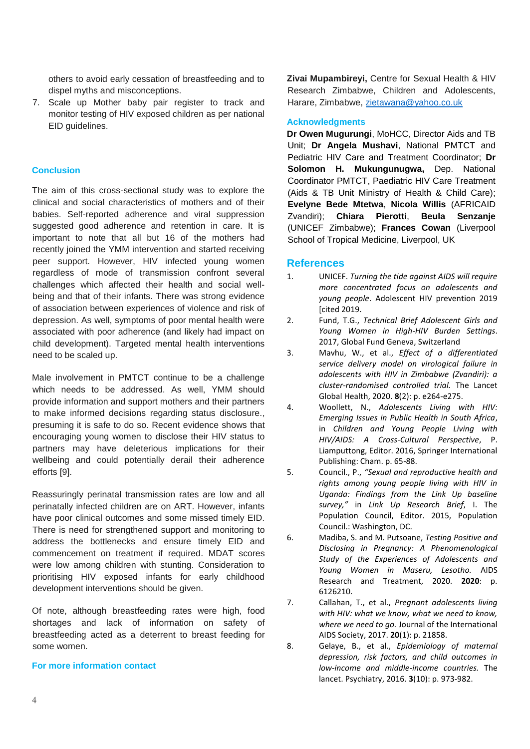others to avoid early cessation of breastfeeding and to dispel myths and misconceptions.

7. Scale up Mother baby pair register to track and monitor testing of HIV exposed children as per national EID guidelines.

## **Conclusion**

The aim of this cross-sectional study was to explore the clinical and social characteristics of mothers and of their babies. Self-reported adherence and viral suppression suggested good adherence and retention in care. It is important to note that all but 16 of the mothers had recently joined the YMM intervention and started receiving peer support. However, HIV infected young women regardless of mode of transmission confront several challenges which affected their health and social wellbeing and that of their infants. There was strong evidence of association between experiences of violence and risk of depression. As well, symptoms of poor mental health were associated with poor adherence (and likely had impact on child development). Targeted mental health interventions need to be scaled up.

Male involvement in PMTCT continue to be a challenge which needs to be addressed. As well, YMM should provide information and support mothers and their partners to make informed decisions regarding status disclosure., presuming it is safe to do so. Recent evidence shows that encouraging young women to disclose their HIV status to partners may have deleterious implications for their wellbeing and could potentially derail their adherence efforts [9].

Reassuringly perinatal transmission rates are low and all perinatally infected children are on ART. However, infants have poor clinical outcomes and some missed timely EID. There is need for strengthened support and monitoring to address the bottlenecks and ensure timely EID and commencement on treatment if required. MDAT scores were low among children with stunting. Consideration to prioritising HIV exposed infants for early childhood development interventions should be given.

Of note, although breastfeeding rates were high, food shortages and lack of information on safety of breastfeeding acted as a deterrent to breast feeding for some women.

### **For more information contact**

**Zivai Mupambireyi,** Centre for Sexual Health & HIV Research Zimbabwe, Children and Adolescents, Harare, Zimbabwe, [zietawana@yahoo.co.uk](about:blank)

#### **Acknowledgments**

**Dr Owen Mugurungi**, MoHCC, Director Aids and TB Unit; **Dr Angela Mushavi**, National PMTCT and Pediatric HIV Care and Treatment Coordinator; **Dr Solomon H. Mukungunugwa,** Dep. National Coordinator PMTCT, Paediatric HIV Care Treatment (Aids & TB Unit Ministry of Health & Child Care); **Evelyne Bede Mtetwa**, **Nicola Willis** (AFRICAID Zvandiri); **Chiara Pierotti**, **Beula Senzanje** (UNICEF Zimbabwe); **Frances Cowan** (Liverpool School of Tropical Medicine, Liverpool, UK

### **References**

- 1. UNICEF. *Turning the tide against AIDS will require more concentrated focus on adolescents and young people*. Adolescent HIV prevention 2019 [cited 2019.
- 2. Fund, T.G., *Technical Brief Adolescent Girls and Young Women in High-HIV Burden Settings*. 2017, Global Fund Geneva, Switzerland
- 3. Mavhu, W., et al., *Effect of a differentiated service delivery model on virological failure in adolescents with HIV in Zimbabwe (Zvandiri): a cluster-randomised controlled trial.* The Lancet Global Health, 2020. **8**(2): p. e264-e275.
- 4. Woollett, N., *Adolescents Living with HIV: Emerging Issues in Public Health in South Africa*, in *Children and Young People Living with HIV/AIDS: A Cross-Cultural Perspective*, P. Liamputtong, Editor. 2016, Springer International Publishing: Cham. p. 65-88.
- 5. Council., P., *"Sexual and reproductive health and rights among young people living with HIV in Uganda: Findings from the Link Up baseline survey,"* in *Link Up Research Brief*, I. The Population Council, Editor. 2015, Population Council.: Washington, DC.
- 6. Madiba, S. and M. Putsoane, *Testing Positive and Disclosing in Pregnancy: A Phenomenological Study of the Experiences of Adolescents and Young Women in Maseru, Lesotho.* AIDS Research and Treatment, 2020. **2020**: p. 6126210.
- 7. Callahan, T., et al., *Pregnant adolescents living with HIV: what we know, what we need to know, where we need to go.* Journal of the International AIDS Society, 2017. **20**(1): p. 21858.
- 8. Gelaye, B., et al., *Epidemiology of maternal depression, risk factors, and child outcomes in low-income and middle-income countries.* The lancet. Psychiatry, 2016. **3**(10): p. 973-982.